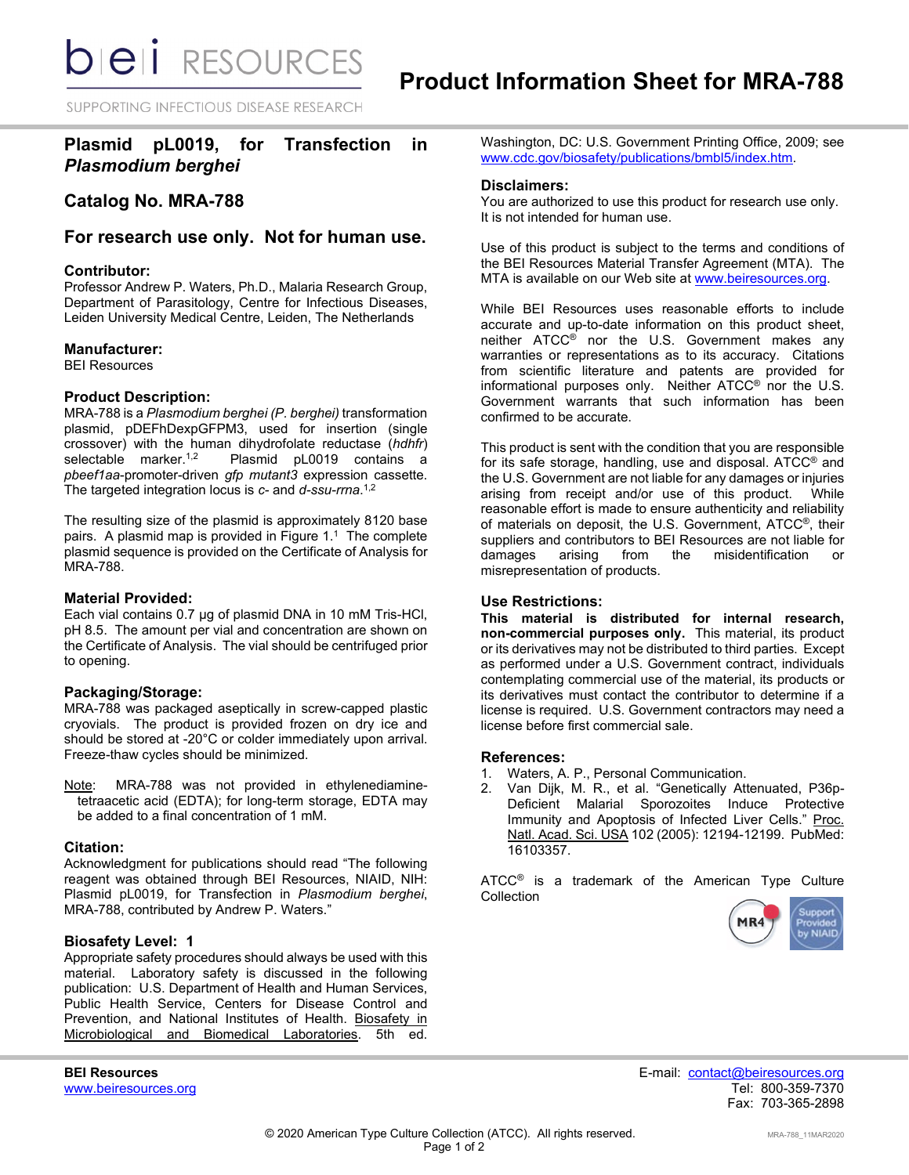**bieli** RESOURCES

SUPPORTING INFECTIOUS DISEASE RESEARCH

**Plasmid pL0019, for Transfection in**  *Plasmodium berghei*

# **Catalog No. MRA-788**

# **For research use only. Not for human use.**

### **Contributor:**

Professor Andrew P. Waters, Ph.D., Malaria Research Group, Department of Parasitology, Centre for Infectious Diseases, Leiden University Medical Centre, Leiden, The Netherlands

# **Manufacturer:**

BEI Resources

#### **Product Description:**

MRA-788 is a *Plasmodium berghei (P. berghei)* transformation plasmid, pDEFhDexpGFPM3, used for insertion (single crossover) with the human dihydrofolate reductase (*hdhfr*) Plasmid pL0019 contains a *pbeef1aa*-promoter-driven *gfp mutant3* expression cassette. The targeted integration locus is *c-* and *d-ssu-rrna*. 1,2

The resulting size of the plasmid is approximately 8120 base pairs. A plasmid map is provided in Figure  $1<sup>1</sup>$  The complete plasmid sequence is provided on the Certificate of Analysis for MRA-788.

#### **Material Provided:**

Each vial contains 0.7 µg of plasmid DNA in 10 mM Tris-HCl, pH 8.5. The amount per vial and concentration are shown on the Certificate of Analysis. The vial should be centrifuged prior to opening.

## **Packaging/Storage:**

MRA-788 was packaged aseptically in screw-capped plastic cryovials. The product is provided frozen on dry ice and should be stored at -20°C or colder immediately upon arrival. Freeze-thaw cycles should be minimized.

Note: MRA-788 was not provided in ethylenediaminetetraacetic acid (EDTA); for long-term storage, EDTA may be added to a final concentration of 1 mM.

#### **Citation:**

Acknowledgment for publications should read "The following reagent was obtained through BEI Resources, NIAID, NIH: Plasmid pL0019, for Transfection in *Plasmodium berghei*, MRA-788, contributed by Andrew P. Waters."

## **Biosafety Level: 1**

Appropriate safety procedures should always be used with this material. Laboratory safety is discussed in the following publication: U.S. Department of Health and Human Services, Public Health Service, Centers for Disease Control and Prevention, and National Institutes of Health. Biosafety in Microbiological and Biomedical Laboratories. 5th ed.

**BEI Resources** E-mail: contact@beiresources.org www.beiresources.org

Washington, DC: U.S. Government Printing Office, 2009; see [www.cdc.gov/biosafety/publications/bmbl5/index.htm.](http://www.cdc.gov/biosafety/publications/bmbl5/index.htm)

#### **Disclaimers:**

You are authorized to use this product for research use only. It is not intended for human use.

Use of this product is subject to the terms and conditions of the BEI Resources Material Transfer Agreement (MTA). The MTA is available on our Web site at [www.beiresources.org.](http://www.beiresources.org/)

While BEI Resources uses reasonable efforts to include accurate and up-to-date information on this product sheet, neither ATCC® nor the U.S. Government makes any warranties or representations as to its accuracy. Citations from scientific literature and patents are provided for informational purposes only. Neither ATCC® nor the U.S. Government warrants that such information has been confirmed to be accurate.

This product is sent with the condition that you are responsible for its safe storage, handling, use and disposal. ATCC® and the U.S. Government are not liable for any damages or injuries arising from receipt and/or use of this product. While reasonable effort is made to ensure authenticity and reliability of materials on deposit, the U.S. Government, ATCC®, their suppliers and contributors to BEI Resources are not liable for<br>damages arising from the misidentification or damages arising from the misidentification or misrepresentation of products.

### **Use Restrictions:**

**This material is distributed for internal research, non-commercial purposes only.** This material, its product or its derivatives may not be distributed to third parties. Except as performed under a U.S. Government contract, individuals contemplating commercial use of the material, its products or its derivatives must contact the contributor to determine if a license is required. U.S. Government contractors may need a license before first commercial sale.

### **References:**

- 1. Waters, A. P., Personal Communication.
- 2. Van Dijk, M. R., et al. "Genetically Attenuated, P36p-Deficient Malarial Sporozoites Induce Protective Immunity and Apoptosis of Infected Liver Cells." Proc. Natl. Acad. Sci. USA 102 (2005): 12194-12199. PubMed: 16103357.

ATCC<sup>®</sup> is a trademark of the American Type Culture **Collection** 



Fax: 703-365-2898